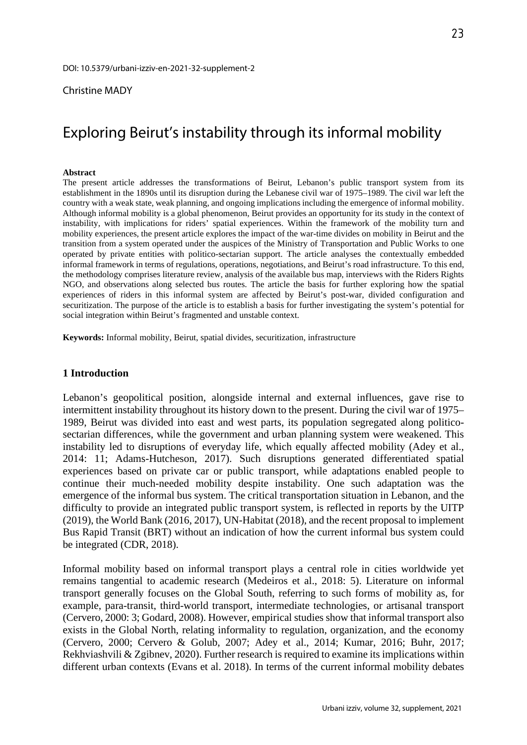## Christine MADY

# Exploring Beirut's instability through its informal mobility

### **Abstract**

The present article addresses the transformations of Beirut, Lebanon's public transport system from its establishment in the 1890s until its disruption during the Lebanese civil war of 1975–1989. The civil war left the country with a weak state, weak planning, and ongoing implications including the emergence of informal mobility. Although informal mobility is a global phenomenon, Beirut provides an opportunity for its study in the context of instability, with implications for riders' spatial experiences. Within the framework of the mobility turn and mobility experiences, the present article explores the impact of the war-time divides on mobility in Beirut and the transition from a system operated under the auspices of the Ministry of Transportation and Public Works to one operated by private entities with politico-sectarian support. The article analyses the contextually embedded informal framework in terms of regulations, operations, negotiations, and Beirut's road infrastructure. To this end, the methodology comprises literature review, analysis of the available bus map, interviews with the Riders Rights NGO, and observations along selected bus routes. The article the basis for further exploring how the spatial experiences of riders in this informal system are affected by Beirut's post-war, divided configuration and securitization. The purpose of the article is to establish a basis for further investigating the system's potential for social integration within Beirut's fragmented and unstable context.

**Keywords:** Informal mobility, Beirut, spatial divides, securitization, infrastructure

## **1 Introduction**

Lebanon's geopolitical position, alongside internal and external influences, gave rise to intermittent instability throughout its history down to the present. During the civil war of 1975– 1989, Beirut was divided into east and west parts, its population segregated along politicosectarian differences, while the government and urban planning system were weakened. This instability led to disruptions of everyday life, which equally affected mobility (Adey et al., 2014: 11; Adams-Hutcheson, 2017). Such disruptions generated differentiated spatial experiences based on private car or public transport, while adaptations enabled people to continue their much-needed mobility despite instability. One such adaptation was the emergence of the informal bus system. The critical transportation situation in Lebanon, and the difficulty to provide an integrated public transport system, is reflected in reports by the UITP (2019), the World Bank (2016, 2017), UN-Habitat (2018), and the recent proposal to implement Bus Rapid Transit (BRT) without an indication of how the current informal bus system could be integrated (CDR, 2018).

Informal mobility based on informal transport plays a central role in cities worldwide yet remains tangential to academic research (Medeiros et al., 2018: 5). Literature on informal transport generally focuses on the Global South, referring to such forms of mobility as, for example, para-transit, third-world transport, intermediate technologies, or artisanal transport (Cervero, 2000: 3; Godard, 2008). However, empirical studies show that informal transport also exists in the Global North, relating informality to regulation, organization, and the economy (Cervero, 2000; Cervero & Golub, 2007; Adey et al., 2014; Kumar, 2016; Buhr, 2017; Rekhviashvili & Zgibnev, 2020). Further research is required to examine its implications within different urban contexts (Evans et al. 2018). In terms of the current informal mobility debates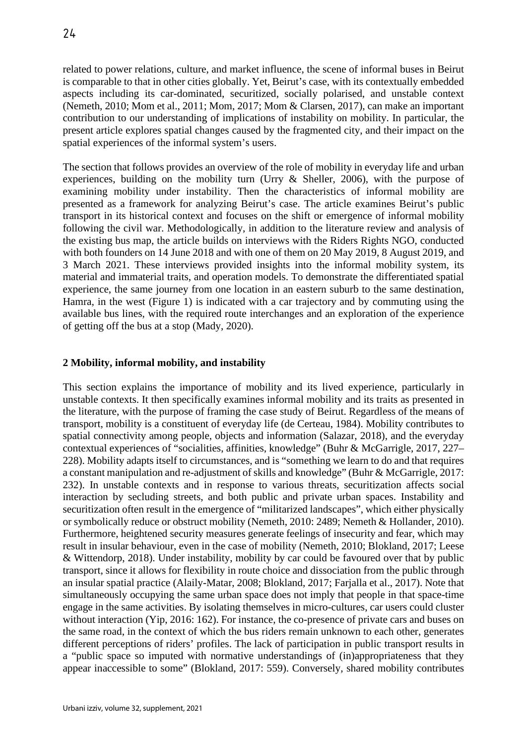related to power relations, culture, and market influence, the scene of informal buses in Beirut is comparable to that in other cities globally. Yet, Beirut's case, with its contextually embedded aspects including its car-dominated, securitized, socially polarised, and unstable context (Nemeth, 2010; Mom et al., 2011; Mom, 2017; Mom & Clarsen, 2017), can make an important contribution to our understanding of implications of instability on mobility. In particular, the present article explores spatial changes caused by the fragmented city, and their impact on the spatial experiences of the informal system's users.

The section that follows provides an overview of the role of mobility in everyday life and urban experiences, building on the mobility turn (Urry & Sheller, 2006), with the purpose of examining mobility under instability. Then the characteristics of informal mobility are presented as a framework for analyzing Beirut's case. The article examines Beirut's public transport in its historical context and focuses on the shift or emergence of informal mobility following the civil war. Methodologically, in addition to the literature review and analysis of the existing bus map, the article builds on interviews with the Riders Rights NGO, conducted with both founders on 14 June 2018 and with one of them on 20 May 2019, 8 August 2019, and 3 March 2021. These interviews provided insights into the informal mobility system, its material and immaterial traits, and operation models. To demonstrate the differentiated spatial experience, the same journey from one location in an eastern suburb to the same destination, Hamra, in the west (Figure 1) is indicated with a car trajectory and by commuting using the available bus lines, with the required route interchanges and an exploration of the experience of getting off the bus at a stop (Mady, 2020).

## **2 Mobility, informal mobility, and instability**

This section explains the importance of mobility and its lived experience, particularly in unstable contexts. It then specifically examines informal mobility and its traits as presented in the literature, with the purpose of framing the case study of Beirut. Regardless of the means of transport, mobility is a constituent of everyday life (de Certeau, 1984). Mobility contributes to spatial connectivity among people, objects and information (Salazar, 2018), and the everyday contextual experiences of "socialities, affinities, knowledge" (Buhr & McGarrigle, 2017, 227– 228). Mobility adapts itself to circumstances, and is "something we learn to do and that requires a constant manipulation and re-adjustment of skills and knowledge" (Buhr & McGarrigle, 2017: 232). In unstable contexts and in response to various threats, securitization affects social interaction by secluding streets, and both public and private urban spaces. Instability and securitization often result in the emergence of "militarized landscapes", which either physically or symbolically reduce or obstruct mobility (Nemeth, 2010: 2489; Nemeth & Hollander, 2010). Furthermore, heightened security measures generate feelings of insecurity and fear, which may result in insular behaviour, even in the case of mobility (Nemeth, 2010; Blokland, 2017; Leese & Wittendorp, 2018). Under instability, mobility by car could be favoured over that by public transport, since it allows for flexibility in route choice and dissociation from the public through an insular spatial practice (Alaily-Matar, 2008; Blokland, 2017; Farjalla et al., 2017). Note that simultaneously occupying the same urban space does not imply that people in that space-time engage in the same activities. By isolating themselves in micro-cultures, car users could cluster without interaction (Yip, 2016: 162). For instance, the co-presence of private cars and buses on the same road, in the context of which the bus riders remain unknown to each other, generates different perceptions of riders' profiles. The lack of participation in public transport results in a "public space so imputed with normative understandings of (in)appropriateness that they appear inaccessible to some" (Blokland, 2017: 559). Conversely, shared mobility contributes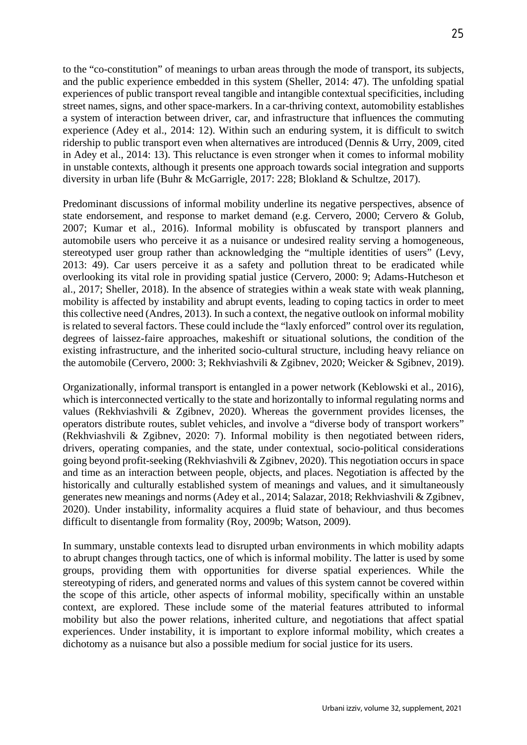to the "co-constitution" of meanings to urban areas through the mode of transport, its subjects, and the public experience embedded in this system (Sheller, 2014: 47). The unfolding spatial experiences of public transport reveal tangible and intangible contextual specificities, including street names, signs, and other space-markers. In a car-thriving context, automobility establishes a system of interaction between driver, car, and infrastructure that influences the commuting experience (Adey et al., 2014: 12). Within such an enduring system, it is difficult to switch ridership to public transport even when alternatives are introduced (Dennis & Urry, 2009, cited in Adey et al., 2014: 13). This reluctance is even stronger when it comes to informal mobility in unstable contexts, although it presents one approach towards social integration and supports diversity in urban life (Buhr & McGarrigle, 2017: 228; Blokland & Schultze, 2017).

Predominant discussions of informal mobility underline its negative perspectives, absence of state endorsement, and response to market demand (e.g. Cervero, 2000; Cervero & Golub, 2007; Kumar et al., 2016). Informal mobility is obfuscated by transport planners and automobile users who perceive it as a nuisance or undesired reality serving a homogeneous, stereotyped user group rather than acknowledging the "multiple identities of users" (Levy, 2013: 49). Car users perceive it as a safety and pollution threat to be eradicated while overlooking its vital role in providing spatial justice (Cervero, 2000: 9; Adams-Hutcheson et al., 2017; Sheller, 2018). In the absence of strategies within a weak state with weak planning, mobility is affected by instability and abrupt events, leading to coping tactics in order to meet this collective need (Andres, 2013). In such a context, the negative outlook on informal mobility is related to several factors. These could include the "laxly enforced" control over its regulation, degrees of laissez-faire approaches, makeshift or situational solutions, the condition of the existing infrastructure, and the inherited socio-cultural structure, including heavy reliance on the automobile (Cervero, 2000: 3; Rekhviashvili & Zgibnev, 2020; Weicker & Sgibnev, 2019).

Organizationally, informal transport is entangled in a power network (Keblowski et al., 2016), which is interconnected vertically to the state and horizontally to informal regulating norms and values (Rekhviashvili & Zgibnev, 2020). Whereas the government provides licenses, the operators distribute routes, sublet vehicles, and involve a "diverse body of transport workers" (Rekhviashvili & Zgibnev, 2020: 7). Informal mobility is then negotiated between riders, drivers, operating companies, and the state, under contextual, socio-political considerations going beyond profit-seeking (Rekhviashvili & Zgibnev, 2020). This negotiation occurs in space and time as an interaction between people, objects, and places. Negotiation is affected by the historically and culturally established system of meanings and values, and it simultaneously generates new meanings and norms (Adey et al., 2014; Salazar, 2018; Rekhviashvili & Zgibnev, 2020). Under instability, informality acquires a fluid state of behaviour, and thus becomes difficult to disentangle from formality (Roy, 2009b; Watson, 2009).

In summary, unstable contexts lead to disrupted urban environments in which mobility adapts to abrupt changes through tactics, one of which is informal mobility. The latter is used by some groups, providing them with opportunities for diverse spatial experiences. While the stereotyping of riders, and generated norms and values of this system cannot be covered within the scope of this article, other aspects of informal mobility, specifically within an unstable context, are explored. These include some of the material features attributed to informal mobility but also the power relations, inherited culture, and negotiations that affect spatial experiences. Under instability, it is important to explore informal mobility, which creates a dichotomy as a nuisance but also a possible medium for social justice for its users.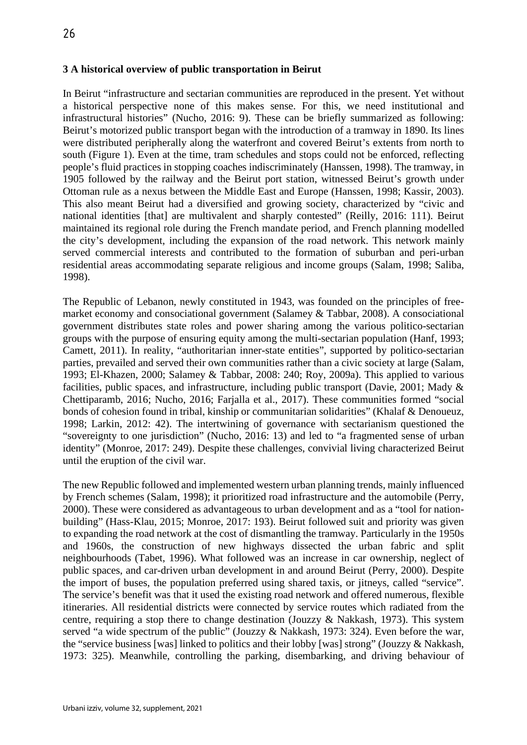## **3 A historical overview of public transportation in Beirut**

In Beirut "infrastructure and sectarian communities are reproduced in the present. Yet without a historical perspective none of this makes sense. For this, we need institutional and infrastructural histories" (Nucho, 2016: 9). These can be briefly summarized as following: Beirut's motorized public transport began with the introduction of a tramway in 1890. Its lines were distributed peripherally along the waterfront and covered Beirut's extents from north to south (Figure 1). Even at the time, tram schedules and stops could not be enforced, reflecting people's fluid practices in stopping coaches indiscriminately (Hanssen, 1998). The tramway, in 1905 followed by the railway and the Beirut port station, witnessed Beirut's growth under Ottoman rule as a nexus between the Middle East and Europe (Hanssen, 1998; Kassir, 2003). This also meant Beirut had a diversified and growing society, characterized by "civic and national identities [that] are multivalent and sharply contested" (Reilly, 2016: 111). Beirut maintained its regional role during the French mandate period, and French planning modelled the city's development, including the expansion of the road network. This network mainly served commercial interests and contributed to the formation of suburban and peri-urban residential areas accommodating separate religious and income groups (Salam, 1998; Saliba, 1998).

The Republic of Lebanon, newly constituted in 1943, was founded on the principles of freemarket economy and consociational government (Salamey & Tabbar, 2008). A consociational government distributes state roles and power sharing among the various politico-sectarian groups with the purpose of ensuring equity among the multi-sectarian population (Hanf, 1993; Camett, 2011). In reality, "authoritarian inner-state entities", supported by politico-sectarian parties, prevailed and served their own communities rather than a civic society at large (Salam, 1993; El-Khazen, 2000; Salamey & Tabbar, 2008: 240; Roy, 2009a). This applied to various facilities, public spaces, and infrastructure, including public transport (Davie, 2001; Mady & Chettiparamb, 2016; Nucho, 2016; Farjalla et al., 2017). These communities formed "social bonds of cohesion found in tribal, kinship or communitarian solidarities" (Khalaf & Denoueuz, 1998; Larkin, 2012: 42). The intertwining of governance with sectarianism questioned the "sovereignty to one jurisdiction" (Nucho, 2016: 13) and led to "a fragmented sense of urban identity" (Monroe, 2017: 249). Despite these challenges, convivial living characterized Beirut until the eruption of the civil war.

The new Republic followed and implemented western urban planning trends, mainly influenced by French schemes (Salam, 1998); it prioritized road infrastructure and the automobile (Perry, 2000). These were considered as advantageous to urban development and as a "tool for nationbuilding" (Hass-Klau, 2015; Monroe, 2017: 193). Beirut followed suit and priority was given to expanding the road network at the cost of dismantling the tramway. Particularly in the 1950s and 1960s, the construction of new highways dissected the urban fabric and split neighbourhoods (Tabet, 1996). What followed was an increase in car ownership, neglect of public spaces, and car-driven urban development in and around Beirut (Perry, 2000). Despite the import of buses, the population preferred using shared taxis, or jitneys, called "service". The service's benefit was that it used the existing road network and offered numerous, flexible itineraries. All residential districts were connected by service routes which radiated from the centre, requiring a stop there to change destination (Jouzzy & Nakkash, 1973). This system served "a wide spectrum of the public" (Jouzzy & Nakkash, 1973: 324). Even before the war, the "service business [was] linked to politics and their lobby [was] strong" (Jouzzy & Nakkash, 1973: 325). Meanwhile, controlling the parking, disembarking, and driving behaviour of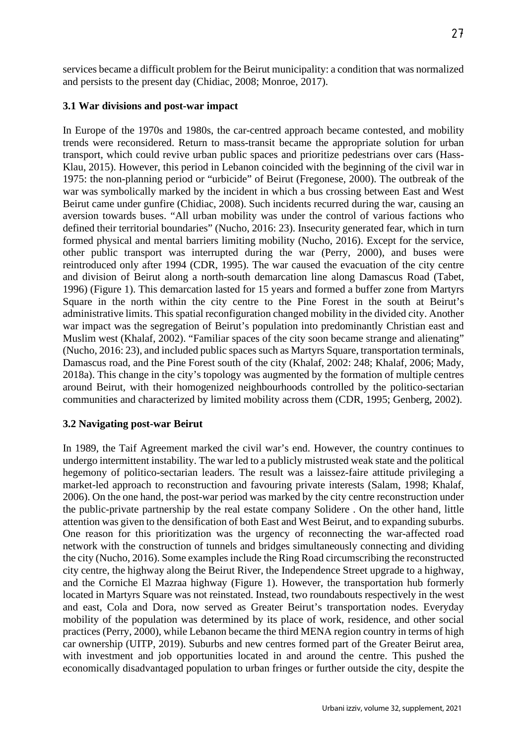services became a difficult problem for the Beirut municipality: a condition that was normalized and persists to the present day (Chidiac, 2008; Monroe, 2017).

## **3.1 War divisions and post-war impact**

In Europe of the 1970s and 1980s, the car-centred approach became contested, and mobility trends were reconsidered. Return to mass-transit became the appropriate solution for urban transport, which could revive urban public spaces and prioritize pedestrians over cars (Hass-Klau, 2015). However, this period in Lebanon coincided with the beginning of the civil war in 1975: the non-planning period or "urbicide" of Beirut (Fregonese, 2000). The outbreak of the war was symbolically marked by the incident in which a bus crossing between East and West Beirut came under gunfire (Chidiac, 2008). Such incidents recurred during the war, causing an aversion towards buses. "All urban mobility was under the control of various factions who defined their territorial boundaries" (Nucho, 2016: 23). Insecurity generated fear, which in turn formed physical and mental barriers limiting mobility (Nucho, 2016). Except for the service, other public transport was interrupted during the war (Perry, 2000), and buses were reintroduced only after 1994 (CDR, 1995). The war caused the evacuation of the city centre and division of Beirut along a north-south demarcation line along Damascus Road (Tabet, 1996) (Figure 1). This demarcation lasted for 15 years and formed a buffer zone from Martyrs Square in the north within the city centre to the Pine Forest in the south at Beirut's administrative limits. This spatial reconfiguration changed mobility in the divided city. Another war impact was the segregation of Beirut's population into predominantly Christian east and Muslim west (Khalaf, 2002). "Familiar spaces of the city soon became strange and alienating" (Nucho, 2016: 23), and included public spaces such as Martyrs Square, transportation terminals, Damascus road, and the Pine Forest south of the city (Khalaf, 2002: 248; Khalaf, 2006; Mady, 2018a). This change in the city's topology was augmented by the formation of multiple centres around Beirut, with their homogenized neighbourhoods controlled by the politico-sectarian communities and characterized by limited mobility across them (CDR, 1995; Genberg, 2002).

## **3.2 Navigating post-war Beirut**

In 1989, the Taif Agreement marked the civil war's end. However, the country continues to undergo intermittent instability. The war led to a publicly mistrusted weak state and the political hegemony of politico-sectarian leaders. The result was a laissez-faire attitude privileging a market-led approach to reconstruction and favouring private interests (Salam, 1998; Khalaf, 2006). On the one hand, the post-war period was marked by the city centre reconstruction under the public-private partnership by the real estate company Solidere . On the other hand, little attention was given to the densification of both East and West Beirut, and to expanding suburbs. One reason for this prioritization was the urgency of reconnecting the war-affected road network with the construction of tunnels and bridges simultaneously connecting and dividing the city (Nucho, 2016). Some examples include the Ring Road circumscribing the reconstructed city centre, the highway along the Beirut River, the Independence Street upgrade to a highway, and the Corniche El Mazraa highway (Figure 1). However, the transportation hub formerly located in Martyrs Square was not reinstated. Instead, two roundabouts respectively in the west and east, Cola and Dora, now served as Greater Beirut's transportation nodes. Everyday mobility of the population was determined by its place of work, residence, and other social practices (Perry, 2000), while Lebanon became the third MENA region country in terms of high car ownership (UITP, 2019). Suburbs and new centres formed part of the Greater Beirut area, with investment and job opportunities located in and around the centre. This pushed the economically disadvantaged population to urban fringes or further outside the city, despite the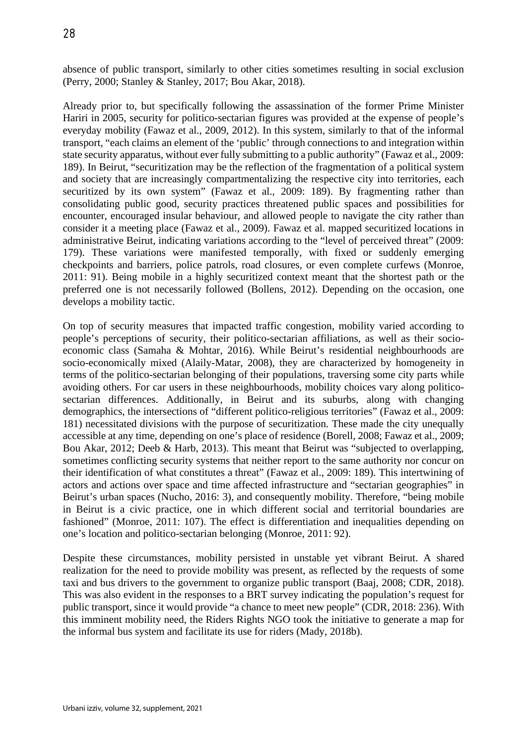absence of public transport, similarly to other cities sometimes resulting in social exclusion (Perry, 2000; Stanley & Stanley, 2017; Bou Akar, 2018).

Already prior to, but specifically following the assassination of the former Prime Minister Hariri in 2005, security for politico-sectarian figures was provided at the expense of people's everyday mobility (Fawaz et al., 2009, 2012). In this system, similarly to that of the informal transport, "each claims an element of the 'public' through connections to and integration within state security apparatus, without ever fully submitting to a public authority" (Fawaz et al., 2009: 189). In Beirut, "securitization may be the reflection of the fragmentation of a political system and society that are increasingly compartmentalizing the respective city into territories, each securitized by its own system" (Fawaz et al., 2009: 189). By fragmenting rather than consolidating public good, security practices threatened public spaces and possibilities for encounter, encouraged insular behaviour, and allowed people to navigate the city rather than consider it a meeting place (Fawaz et al., 2009). Fawaz et al. mapped securitized locations in administrative Beirut, indicating variations according to the "level of perceived threat" (2009: 179). These variations were manifested temporally, with fixed or suddenly emerging checkpoints and barriers, police patrols, road closures, or even complete curfews (Monroe, 2011: 91). Being mobile in a highly securitized context meant that the shortest path or the preferred one is not necessarily followed (Bollens, 2012). Depending on the occasion, one develops a mobility tactic.

On top of security measures that impacted traffic congestion, mobility varied according to people's perceptions of security, their politico-sectarian affiliations, as well as their socioeconomic class (Samaha & Mohtar, 2016). While Beirut's residential neighbourhoods are socio-economically mixed (Alaily-Matar, 2008), they are characterized by homogeneity in terms of the politico-sectarian belonging of their populations, traversing some city parts while avoiding others. For car users in these neighbourhoods, mobility choices vary along politicosectarian differences. Additionally, in Beirut and its suburbs, along with changing demographics, the intersections of "different politico-religious territories" (Fawaz et al., 2009: 181) necessitated divisions with the purpose of securitization. These made the city unequally accessible at any time, depending on one's place of residence (Borell, 2008; Fawaz et al., 2009; Bou Akar, 2012; Deeb & Harb, 2013). This meant that Beirut was "subjected to overlapping, sometimes conflicting security systems that neither report to the same authority nor concur on their identification of what constitutes a threat" (Fawaz et al., 2009: 189). This intertwining of actors and actions over space and time affected infrastructure and "sectarian geographies" in Beirut's urban spaces (Nucho, 2016: 3), and consequently mobility. Therefore, "being mobile in Beirut is a civic practice, one in which different social and territorial boundaries are fashioned" (Monroe, 2011: 107). The effect is differentiation and inequalities depending on one's location and politico-sectarian belonging (Monroe, 2011: 92).

Despite these circumstances, mobility persisted in unstable yet vibrant Beirut. A shared realization for the need to provide mobility was present, as reflected by the requests of some taxi and bus drivers to the government to organize public transport (Baaj, 2008; CDR, 2018). This was also evident in the responses to a BRT survey indicating the population's request for public transport, since it would provide "a chance to meet new people" (CDR, 2018: 236). With this imminent mobility need, the Riders Rights NGO took the initiative to generate a map for the informal bus system and facilitate its use for riders (Mady, 2018b).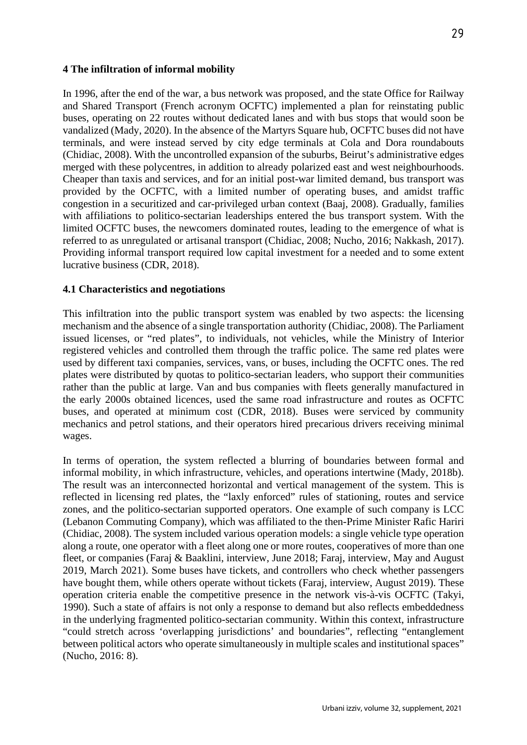## **4 The infiltration of informal mobility**

In 1996, after the end of the war, a bus network was proposed, and the state Office for Railway and Shared Transport (French acronym OCFTC) implemented a plan for reinstating public buses, operating on 22 routes without dedicated lanes and with bus stops that would soon be vandalized (Mady, 2020). In the absence of the Martyrs Square hub, OCFTC buses did not have terminals, and were instead served by city edge terminals at Cola and Dora roundabouts (Chidiac, 2008). With the uncontrolled expansion of the suburbs, Beirut's administrative edges merged with these polycentres, in addition to already polarized east and west neighbourhoods. Cheaper than taxis and services, and for an initial post-war limited demand, bus transport was provided by the OCFTC, with a limited number of operating buses, and amidst traffic congestion in a securitized and car-privileged urban context (Baaj, 2008). Gradually, families with affiliations to politico-sectarian leaderships entered the bus transport system. With the limited OCFTC buses, the newcomers dominated routes, leading to the emergence of what is referred to as unregulated or artisanal transport (Chidiac, 2008; Nucho, 2016; Nakkash, 2017). Providing informal transport required low capital investment for a needed and to some extent lucrative business (CDR, 2018).

## **4.1 Characteristics and negotiations**

This infiltration into the public transport system was enabled by two aspects: the licensing mechanism and the absence of a single transportation authority (Chidiac, 2008). The Parliament issued licenses, or "red plates", to individuals, not vehicles, while the Ministry of Interior registered vehicles and controlled them through the traffic police. The same red plates were used by different taxi companies, services, vans, or buses, including the OCFTC ones. The red plates were distributed by quotas to politico-sectarian leaders, who support their communities rather than the public at large. Van and bus companies with fleets generally manufactured in the early 2000s obtained licences, used the same road infrastructure and routes as OCFTC buses, and operated at minimum cost (CDR, 2018). Buses were serviced by community mechanics and petrol stations, and their operators hired precarious drivers receiving minimal wages.

In terms of operation, the system reflected a blurring of boundaries between formal and informal mobility, in which infrastructure, vehicles, and operations intertwine (Mady, 2018b). The result was an interconnected horizontal and vertical management of the system. This is reflected in licensing red plates, the "laxly enforced" rules of stationing, routes and service zones, and the politico-sectarian supported operators. One example of such company is LCC (Lebanon Commuting Company), which was affiliated to the then-Prime Minister Rafic Hariri (Chidiac, 2008). The system included various operation models: a single vehicle type operation along a route, one operator with a fleet along one or more routes, cooperatives of more than one fleet, or companies (Faraj & Baaklini, interview, June 2018; Faraj, interview, May and August 2019, March 2021). Some buses have tickets, and controllers who check whether passengers have bought them, while others operate without tickets (Faraj, interview, August 2019). These operation criteria enable the competitive presence in the network vis-à-vis OCFTC (Takyi, 1990). Such a state of affairs is not only a response to demand but also reflects embeddedness in the underlying fragmented politico-sectarian community. Within this context, infrastructure "could stretch across 'overlapping jurisdictions' and boundaries", reflecting "entanglement between political actors who operate simultaneously in multiple scales and institutional spaces" (Nucho, 2016: 8).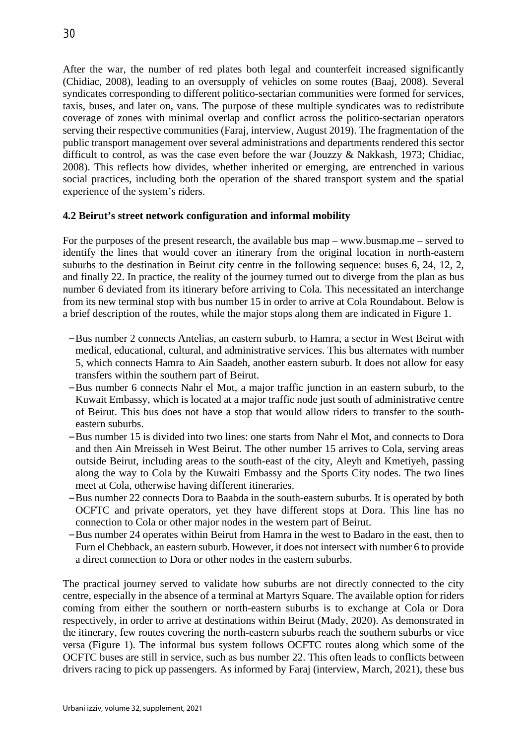After the war, the number of red plates both legal and counterfeit increased significantly (Chidiac, 2008), leading to an oversupply of vehicles on some routes (Baaj, 2008). Several syndicates corresponding to different politico-sectarian communities were formed for services, taxis, buses, and later on, vans. The purpose of these multiple syndicates was to redistribute coverage of zones with minimal overlap and conflict across the politico-sectarian operators serving their respective communities (Faraj, interview, August 2019). The fragmentation of the public transport management over several administrations and departments rendered this sector difficult to control, as was the case even before the war (Jouzzy & Nakkash, 1973; Chidiac, 2008). This reflects how divides, whether inherited or emerging, are entrenched in various social practices, including both the operation of the shared transport system and the spatial experience of the system's riders.

## **4.2 Beirut's street network configuration and informal mobility**

For the purposes of the present research, the available bus map – www.busmap.me – served to identify the lines that would cover an itinerary from the original location in north-eastern suburbs to the destination in Beirut city centre in the following sequence: buses 6, 24, 12, 2, and finally 22. In practice, the reality of the journey turned out to diverge from the plan as bus number 6 deviated from its itinerary before arriving to Cola. This necessitated an interchange from its new terminal stop with bus number 15 in order to arrive at Cola Roundabout. Below is a brief description of the routes, while the major stops along them are indicated in Figure 1.

- –Bus number 2 connects Antelias, an eastern suburb, to Hamra, a sector in West Beirut with medical, educational, cultural, and administrative services. This bus alternates with number 5, which connects Hamra to Ain Saadeh, another eastern suburb. It does not allow for easy transfers within the southern part of Beirut.
- –Bus number 6 connects Nahr el Mot, a major traffic junction in an eastern suburb, to the Kuwait Embassy, which is located at a major traffic node just south of administrative centre of Beirut. This bus does not have a stop that would allow riders to transfer to the southeastern suburbs.
- –Bus number 15 is divided into two lines: one starts from Nahr el Mot, and connects to Dora and then Ain Mreisseh in West Beirut. The other number 15 arrives to Cola, serving areas outside Beirut, including areas to the south-east of the city, Aleyh and Kmetiyeh, passing along the way to Cola by the Kuwaiti Embassy and the Sports City nodes. The two lines meet at Cola, otherwise having different itineraries.
- –Bus number 22 connects Dora to Baabda in the south-eastern suburbs. It is operated by both OCFTC and private operators, yet they have different stops at Dora. This line has no connection to Cola or other major nodes in the western part of Beirut.
- –Bus number 24 operates within Beirut from Hamra in the west to Badaro in the east, then to Furn el Chebback, an eastern suburb. However, it does not intersect with number 6 to provide a direct connection to Dora or other nodes in the eastern suburbs.

The practical journey served to validate how suburbs are not directly connected to the city centre, especially in the absence of a terminal at Martyrs Square. The available option for riders coming from either the southern or north-eastern suburbs is to exchange at Cola or Dora respectively, in order to arrive at destinations within Beirut (Mady, 2020). As demonstrated in the itinerary, few routes covering the north-eastern suburbs reach the southern suburbs or vice versa (Figure 1). The informal bus system follows OCFTC routes along which some of the OCFTC buses are still in service, such as bus number 22. This often leads to conflicts between drivers racing to pick up passengers. As informed by Faraj (interview, March, 2021), these bus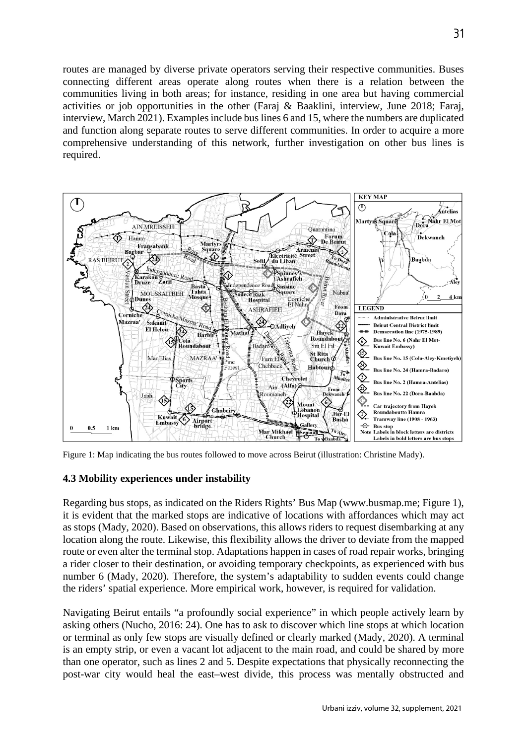routes are managed by diverse private operators serving their respective communities. Buses connecting different areas operate along routes when there is a relation between the communities living in both areas; for instance, residing in one area but having commercial activities or job opportunities in the other (Faraj & Baaklini, interview, June 2018; Faraj, interview, March 2021). Examples include bus lines 6 and 15, where the numbers are duplicated and function along separate routes to serve different communities. In order to acquire a more comprehensive understanding of this network, further investigation on other bus lines is required.



Figure 1: Map indicating the bus routes followed to move across Beirut (illustration: Christine Mady).

## **4.3 Mobility experiences under instability**

Regarding bus stops, as indicated on the Riders Rights' Bus Map (www.busmap.me; Figure 1), it is evident that the marked stops are indicative of locations with affordances which may act as stops (Mady, 2020). Based on observations, this allows riders to request disembarking at any location along the route. Likewise, this flexibility allows the driver to deviate from the mapped route or even alter the terminal stop. Adaptations happen in cases of road repair works, bringing a rider closer to their destination, or avoiding temporary checkpoints, as experienced with bus number 6 (Mady, 2020). Therefore, the system's adaptability to sudden events could change the riders' spatial experience. More empirical work, however, is required for validation.

Navigating Beirut entails "a profoundly social experience" in which people actively learn by asking others (Nucho, 2016: 24). One has to ask to discover which line stops at which location or terminal as only few stops are visually defined or clearly marked (Mady, 2020). A terminal is an empty strip, or even a vacant lot adjacent to the main road, and could be shared by more than one operator, such as lines 2 and 5. Despite expectations that physically reconnecting the post-war city would heal the east–west divide, this process was mentally obstructed and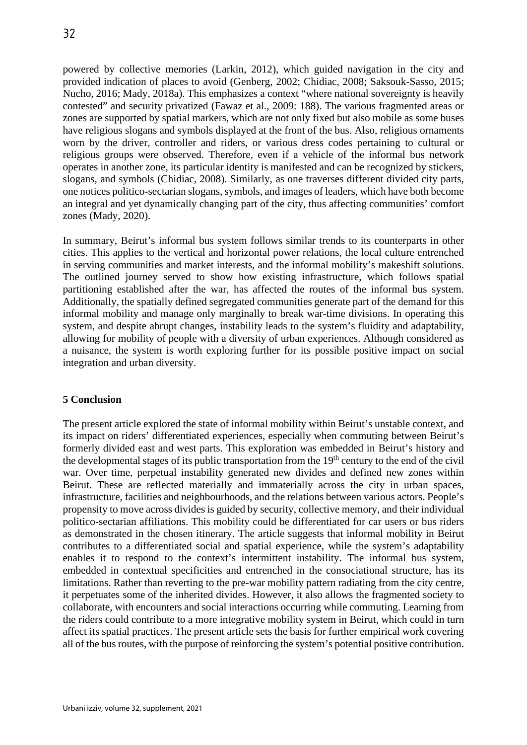powered by collective memories (Larkin, 2012), which guided navigation in the city and provided indication of places to avoid (Genberg, 2002; Chidiac, 2008; Saksouk-Sasso, 2015; Nucho, 2016; Mady, 2018a). This emphasizes a context "where national sovereignty is heavily contested" and security privatized (Fawaz et al., 2009: 188). The various fragmented areas or zones are supported by spatial markers, which are not only fixed but also mobile as some buses have religious slogans and symbols displayed at the front of the bus. Also, religious ornaments worn by the driver, controller and riders, or various dress codes pertaining to cultural or religious groups were observed. Therefore, even if a vehicle of the informal bus network operates in another zone, its particular identity is manifested and can be recognized by stickers, slogans, and symbols (Chidiac, 2008). Similarly, as one traverses different divided city parts, one notices politico-sectarian slogans, symbols, and images of leaders, which have both become an integral and yet dynamically changing part of the city, thus affecting communities' comfort zones (Mady, 2020).

In summary, Beirut's informal bus system follows similar trends to its counterparts in other cities. This applies to the vertical and horizontal power relations, the local culture entrenched in serving communities and market interests, and the informal mobility's makeshift solutions. The outlined journey served to show how existing infrastructure, which follows spatial partitioning established after the war, has affected the routes of the informal bus system. Additionally, the spatially defined segregated communities generate part of the demand for this informal mobility and manage only marginally to break war-time divisions. In operating this system, and despite abrupt changes, instability leads to the system's fluidity and adaptability, allowing for mobility of people with a diversity of urban experiences. Although considered as a nuisance, the system is worth exploring further for its possible positive impact on social integration and urban diversity.

## **5 Conclusion**

The present article explored the state of informal mobility within Beirut's unstable context, and its impact on riders' differentiated experiences, especially when commuting between Beirut's formerly divided east and west parts. This exploration was embedded in Beirut's history and the developmental stages of its public transportation from the 19<sup>th</sup> century to the end of the civil war. Over time, perpetual instability generated new divides and defined new zones within Beirut. These are reflected materially and immaterially across the city in urban spaces, infrastructure, facilities and neighbourhoods, and the relations between various actors. People's propensity to move across divides is guided by security, collective memory, and their individual politico-sectarian affiliations. This mobility could be differentiated for car users or bus riders as demonstrated in the chosen itinerary. The article suggests that informal mobility in Beirut contributes to a differentiated social and spatial experience, while the system's adaptability enables it to respond to the context's intermittent instability. The informal bus system, embedded in contextual specificities and entrenched in the consociational structure, has its limitations. Rather than reverting to the pre-war mobility pattern radiating from the city centre, it perpetuates some of the inherited divides. However, it also allows the fragmented society to collaborate, with encounters and social interactions occurring while commuting. Learning from the riders could contribute to a more integrative mobility system in Beirut, which could in turn affect its spatial practices. The present article sets the basis for further empirical work covering all of the bus routes, with the purpose of reinforcing the system's potential positive contribution.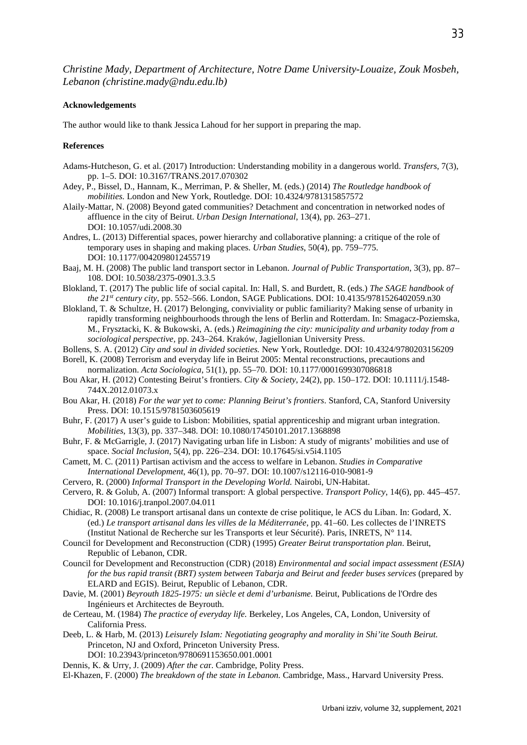*Christine Mady, Department of Architecture, Notre Dame University-Louaize, Zouk Mosbeh, Lebanon (christine.mady*@*ndu.edu.lb)*

#### **Acknowledgements**

The author would like to thank Jessica Lahoud for her support in preparing the map.

#### **References**

- Adams-Hutcheson, G. et al. (2017) Introduction: Understanding mobility in a dangerous world. *Transfers*, 7(3), pp. 1–5. DOI: 10.3167/TRANS.2017.070302
- Adey, P., Bissel, D., Hannam, K., Merriman, P. & Sheller, M. (eds.) (2014) *The Routledge handbook of mobilities.* London and New York, Routledge. DOI: 10.4324/9781315857572
- Alaily-Mattar, N. (2008) Beyond gated communities? Detachment and concentration in networked nodes of affluence in the city of Beirut. *Urban Design International*, 13(4), pp. 263–271. DOI: 10.1057/udi.2008.30
- Andres, L. (2013) Differential spaces, power hierarchy and collaborative planning: a critique of the role of temporary uses in shaping and making places. *Urban Studies*, 50(4), pp. 759–775. DOI: 10.1177/0042098012455719
- Baaj, M. H. (2008) The public land transport sector in Lebanon. *Journal of Public Transportation*, 3(3), pp. 87– 108. DOI: 10.5038/2375-0901.3.3.5
- Blokland, T. (2017) The public life of social capital. In: Hall, S. and Burdett, R. (eds.) *The SAGE handbook of the 21st century city*, pp. 552–566. London, SAGE Publications. DOI: 10.4135/9781526402059.n30
- Blokland, T. & Schultze, H. (2017) Belonging, conviviality or public familiarity? Making sense of urbanity in rapidly transforming neighbourhoods through the lens of Berlin and Rotterdam. In: Smagacz-Poziemska, M., Frysztacki, K. & Bukowski, A. (eds.) *Reimagining the city: municipality and urbanity today from a sociological perspective,* pp. 243–264. Kraków, Jagiellonian University Press.
- Bollens, S. A. (2012) *City and soul in divided societies.* New York, Routledge. DOI: 10.4324/9780203156209
- Borell, K. (2008) Terrorism and everyday life in Beirut 2005: Mental reconstructions, precautions and normalization. *Acta Sociologica*, 51(1), pp. 55–70. DOI: 10.1177/0001699307086818
- Bou Akar, H. (2012) Contesting Beirut's frontiers. *City & Society*, 24(2), pp. 150–172. DOI: 10.1111/j.1548- 744X.2012.01073.x
- Bou Akar, H. (2018) *For the war yet to come: Planning Beirut's frontiers*. Stanford, CA, Stanford University Press. DOI: 10.1515/9781503605619
- Buhr, F. (2017) A user's guide to Lisbon: Mobilities, spatial apprenticeship and migrant urban integration. *Mobilities*, 13(3), pp. 337–348. DOI: 10.1080/17450101.2017.1368898
- Buhr, F. & McGarrigle, J. (2017) Navigating urban life in Lisbon: A study of migrants' mobilities and use of space. *Social Inclusion*, 5(4), pp. 226–234. DOI: 10.17645/si.v5i4.1105
- Camett, M. C. (2011) Partisan activism and the access to welfare in Lebanon. *Studies in Comparative International Development*, 46(1), pp. 70–97. DOI: 10.1007/s12116-010-9081-9
- Cervero, R. (2000) *Informal Transport in the Developing World.* Nairobi, UN-Habitat.
- Cervero, R. & Golub, A. (2007) Informal transport: A global perspective. *Transport Policy*, 14(6), pp. 445–457. DOI: 10.1016/j.tranpol.2007.04.011
- Chidiac, R. (2008) Le transport artisanal dans un contexte de crise politique, le ACS du Liban. In: Godard, X. (ed.) *Le transport artisanal dans les villes de la Méditerranée*, pp. 41–60. Les collectes de l'INRETS (Institut National de Recherche sur les Transports et leur Sécurité). Paris, INRETS, N° 114.
- Council for Development and Reconstruction (CDR) (1995) *Greater Beirut transportation plan*. Beirut, Republic of Lebanon, CDR.
- Council for Development and Reconstruction (CDR) (2018) *Environmental and social impact assessment (ESIA) for the bus rapid transit (BRT) system between Tabarja and Beirut and feeder buses services* (prepared by ELARD and EGIS). Beirut, Republic of Lebanon, CDR.
- Davie, M. (2001) *Beyrouth 1825-1975: un siècle et demi d'urbanisme.* Beirut, Publications de l'Ordre des Ingénieurs et Architectes de Beyrouth.
- de Certeau, M. (1984) *The practice of everyday life.* Berkeley, Los Angeles, CA, London, University of California Press.
- Deeb, L. & Harb, M. (2013) *Leisurely Islam: Negotiating geography and morality in Shi'ite South Beirut.*  Princeton, NJ and Oxford, Princeton University Press. DOI: 10.23943/princeton/9780691153650.001.0001
- Dennis, K. & Urry, J. (2009) *After the ca*r. Cambridge, Polity Press.
- El-Khazen, F. (2000) *The breakdown of the state in Lebanon.* Cambridge, Mass., Harvard University Press.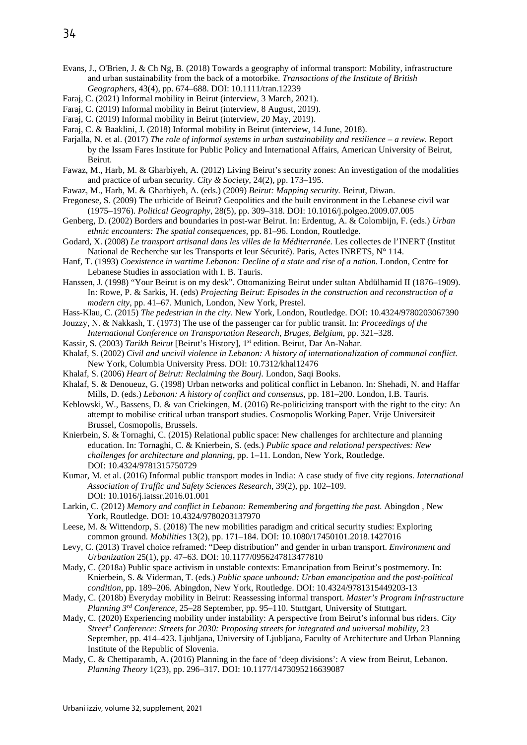- Evans, J., O'Brien, J. & Ch Ng, B. (2018) Towards a geography of informal transport: Mobility, infrastructure and urban sustainability from the back of a motorbike. *Transactions of the Institute of British Geographers*, 43(4), pp. 674–688. DOI: 10.1111/tran.12239
- Faraj, C. (2021) Informal mobility in Beirut (interview, 3 March, 2021).
- Faraj, C. (2019) Informal mobility in Beirut (interview, 8 August, 2019).
- Faraj, C. (2019) Informal mobility in Beirut (interview, 20 May, 2019).
- Faraj, C. & Baaklini, J. (2018) Informal mobility in Beirut (interview, 14 June, 2018).
- Farjalla, N. et al. (2017) *The role of informal systems in urban sustainability and resilience – a review*. Report by the Issam Fares Institute for Public Policy and International Affairs, American University of Beirut, Beirut.
- Fawaz, M., Harb, M. & Gharbiyeh, A. (2012) Living Beirut's security zones: An investigation of the modalities and practice of urban security. *City & Society*, 24(2), pp. 173–195.
- Fawaz, M., Harb, M. & Gharbiyeh, A. (eds.) (2009) *Beirut: Mapping security.* Beirut, Diwan.
- Fregonese, S. (2009) The urbicide of Beirut? Geopolitics and the built environment in the Lebanese civil war (1975–1976). *Political Geography*, 28(5), pp. 309–318. DOI: 10.1016/j.polgeo.2009.07.005
- Genberg, D. (2002) Borders and boundaries in post-war Beirut. In: Erdentug, A. & Colombijn, F. (eds.) *Urban ethnic encounters: The spatial consequences*, pp. 81–96. London, Routledge.
- Godard, X. (2008) *Le transport artisanal dans les villes de la Méditerranée.* Les collectes de l'INERT (Institut National de Recherche sur les Transports et leur Sécurité). Paris, Actes INRETS, N° 114.
- Hanf, T. (1993) *Coexistence in wartime Lebanon: Decline of a state and rise of a nation.* London, Centre for Lebanese Studies in association with I. B. Tauris.
- Hanssen, J. (1998) "Your Beirut is on my desk". Ottomanizing Beirut under sultan Abdülhamid II (1876–1909). In: Rowe, P. & Sarkis, H. (eds) *Projecting Beirut: Episodes in the construction and reconstruction of a modern city*, pp. 41–67. Munich, London, New York, Prestel.
- Hass-Klau, C. (2015) *The pedestrian in the city*. New York, London, Routledge. DOI: 10.4324/9780203067390
- Jouzzy, N. & Nakkash, T. (1973) The use of the passenger car for public transit. In: *Proceedings of the International Conference on Transportation Research, Bruges, Belgium*, pp. 321–328.
- Kassir, S. (2003) *Tarikh Beirut* [Beirut's History], 1st edition. Beirut, Dar An-Nahar.
- Khalaf, S. (2002) *Civil and uncivil violence in Lebanon: A history of internationalization of communal conflict.* New York, Columbia University Press. DOI: 10.7312/khal12476
- Khalaf, S. (2006) *Heart of Beirut: Reclaiming the Bourj.* London, Saqi Books.
- Khalaf, S. & Denoueuz, G. (1998) Urban networks and political conflict in Lebanon. In: Shehadi, N. and Haffar Mills, D. (eds.) *Lebanon: A history of conflict and consensus*, pp. 181–200. London, I.B. Tauris.
- Keblowski, W., Bassens, D. & van Criekingen, M. (2016) Re-politicizing transport with the right to the city: An attempt to mobilise critical urban transport studies. Cosmopolis Working Paper. Vrije Universiteit Brussel, Cosmopolis, Brussels.
- Knierbein, S. & Tornaghi, C. (2015) Relational public space: New challenges for architecture and planning education. In: Tornaghi, C. & Knierbein, S. (eds.) *Public space and relational perspectives: New challenges for architecture and planning*, pp. 1–11. London, New York, Routledge. DOI: 10.4324/9781315750729
- Kumar, M. et al. (2016) Informal public transport modes in India: A case study of five city regions. *International Association of Traffic and Safety Sciences Research*, 39(2), pp. 102–109. DOI: 10.1016/j.iatssr.2016.01.001
- Larkin, C. (2012) *Memory and conflict in Lebanon: Remembering and forgetting the past.* Abingdon , New York, Routledge. DOI: 10.4324/9780203137970
- Leese, M. & Wittendorp, S. (2018) The new mobilities paradigm and critical security studies: Exploring common ground. *Mobilities* 13(2), pp. 171–184. DOI: 10.1080/17450101.2018.1427016
- Levy, C. (2013) Travel choice reframed: "Deep distribution" and gender in urban transport. *Environment and Urbanization* 25(1), pp. 47–63. DOI: 10.1177/0956247813477810
- Mady, C. (2018a) Public space activism in unstable contexts: Emancipation from Beirut's postmemory. In: Knierbein, S. & Viderman, T. (eds.) *Public space unbound: Urban emancipation and the post-political condition*, pp. 189–206*.* Abingdon, New York, Routledge. DOI: 10.4324/9781315449203-13
- Mady, C. (2018b) Everyday mobility in Beirut: Reassessing informal transport. *Master's Program Infrastructure Planning 3rd Conference*, 25–28 September, pp. 95–110. Stuttgart, University of Stuttgart.
- Mady, C. (2020) Experiencing mobility under instability: A perspective from Beirut's informal bus riders. *City Street4 Conference: Streets for 2030: Proposing streets for integrated and universal mobility,* 23 September, pp. 414–423. Ljubljana, University of Ljubljana, Faculty of Architecture and Urban Planning Institute of the Republic of Slovenia.
- Mady, C. & Chettiparamb, A. (2016) Planning in the face of 'deep divisions': A view from Beirut, Lebanon. *Planning Theory* 1(23), pp. 296–317. DOI: 10.1177/1473095216639087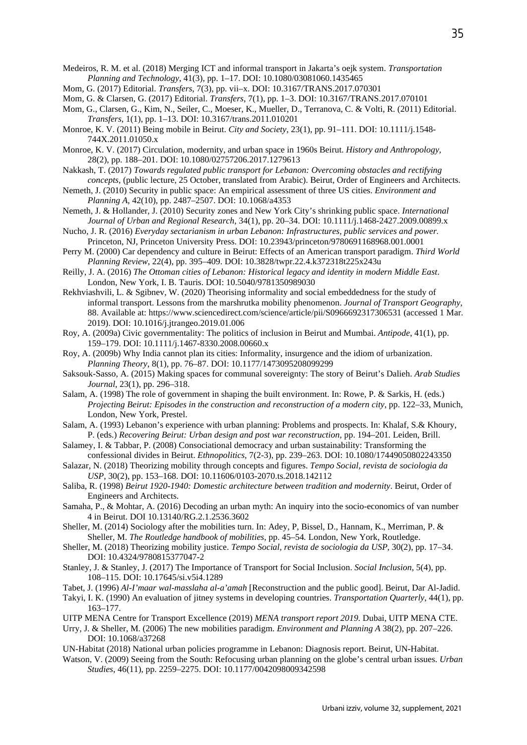- Medeiros, R. M. et al. (2018) Merging ICT and informal transport in Jakarta's oejk system. *Transportation Planning and Technology*, 41(3), pp. 1–17. DOI: 10.1080/03081060.1435465
- Mom, G. (2017) Editorial. *Transfers*, 7(3), pp. vii–x. DOI: 10.3167/TRANS.2017.070301
- Mom, G. & Clarsen, G. (2017) Editorial. *Transfers*, 7(1), pp. 1–3. DOI: 10.3167/TRANS.2017.070101
- Mom, G., Clarsen, G., Kim, N., Seiler, C., Moeser, K., Mueller, D., Terranova, C. & Volti, R. (2011) Editorial. *Transfers*, 1(1), pp. 1–13. DOI: 10.3167/trans.2011.010201
- Monroe, K. V. (2011) Being mobile in Beirut. *City and Society*, 23(1), pp. 91–111. DOI: 10.1111/j.1548- 744X.2011.01050.x
- Monroe, K. V. (2017) Circulation, modernity, and urban space in 1960s Beirut. *History and Anthropology*, 28(2), pp. 188–201. DOI: 10.1080/02757206.2017.1279613
- Nakkash, T. (2017) *Towards regulated public transport for Lebanon: Overcoming obstacles and rectifying concepts*, (public lecture, 25 October, translated from Arabic). Beirut, Order of Engineers and Architects.
- Nemeth, J. (2010) Security in public space: An empirical assessment of three US cities. *Environment and Planning A*, 42(10), pp. 2487–2507. DOI: 10.1068/a4353
- Nemeth, J. & Hollander, J. (2010) Security zones and New York City's shrinking public space. *International Journal of Urban and Regional Research*, 34(1), pp. 20–34. DOI: 10.1111/j.1468-2427.2009.00899.x
- Nucho, J. R. (2016) *Everyday sectarianism in urban Lebanon: Infrastructures, public services and power.* Princeton, NJ, Princeton University Press. DOI: 10.23943/princeton/9780691168968.001.0001
- Perry M. (2000) Car dependency and culture in Beirut: Effects of an American transport paradigm. *Third World Planning Review*, 22(4), pp. 395–409. DOI: 10.3828/twpr.22.4.k372318t225x243u
- Reilly, J. A. (2016) *The Ottoman cities of Lebanon: Historical legacy and identity in modern Middle East*. London, New York, I. B. Tauris. DOI: 10.5040/9781350989030
- Rekhviashvili, L. & Sgibnev, W. (2020) Theorising informality and social embeddedness for the study of informal transport. Lessons from the marshrutka mobility phenomenon. *Journal of Transport Geography*, 88. Available at: https://www.sciencedirect.com/science/article/pii/S0966692317306531 (accessed 1 Mar. 2019). DOI: 10.1016/j.jtrangeo.2019.01.006
- Roy, A. (2009a) Civic governmentality: The politics of inclusion in Beirut and Mumbai. *Antipode*, 41(1), pp. 159–179. DOI: 10.1111/j.1467-8330.2008.00660.x
- Roy, A. (2009b) Why India cannot plan its cities: Informality, insurgence and the idiom of urbanization. *Planning Theory*, 8(1), pp. 76–87. DOI: 10.1177/1473095208099299
- Saksouk-Sasso, A. (2015) Making spaces for communal sovereignty: The story of Beirut's Dalieh. *Arab Studies Journal*, 23(1), pp. 296–318.
- Salam, A. (1998) The role of government in shaping the built environment. In: Rowe, P. & Sarkis, H. (eds.) *Projecting Beirut: Episodes in the construction and reconstruction of a modern city*, pp. 122–33, Munich, London, New York, Prestel.
- Salam, A. (1993) Lebanon's experience with urban planning: Problems and prospects. In: Khalaf, S.& Khoury, P. (eds.) *Recovering Beirut: Urban design and post war reconstruction*, pp. 194–201*.* Leiden, Brill.
- Salamey, I. & Tabbar, P. (2008) Consociational democracy and urban sustainability: Transforming the confessional divides in Beirut. *Ethnopolitics*, 7(2-3), pp. 239–263. DOI: 10.1080/17449050802243350
- Salazar, N. (2018) Theorizing mobility through concepts and figures. *Tempo Social, revista de sociologia da USP*, 30(2), pp. 153–168. DOI: 10.11606/0103-2070.ts.2018.142112
- Saliba, R. (1998) *Beirut 1920-1940: Domestic architecture between tradition and modernity*. Beirut, Order of Engineers and Architects.
- Samaha, P., & Mohtar, A. (2016) Decoding an urban myth: An inquiry into the socio-economics of van number 4 in Beirut. DOI 10.13140/RG.2.1.2536.3602
- Sheller, M. (2014) Sociology after the mobilities turn. In: Adey, P, Bissel, D., Hannam, K., Merriman, P. & Sheller, M. *The Routledge handbook of mobilities*, pp. 45–54*.* London, New York, Routledge.
- Sheller, M. (2018) Theorizing mobility justice. *Tempo Social, revista de sociologia da USP*, 30(2), pp. 17–34. DOI: 10.4324/9780815377047-2
- Stanley, J. & Stanley, J. (2017) The Importance of Transport for Social Inclusion. *Social Inclusion*, 5(4), pp. 108–115. DOI: 10.17645/si.v5i4.1289
- Tabet, J. (1996) *Al-I'maar wal-masslaha al-a'amah* [Reconstruction and the public good]. Beirut, Dar Al-Jadid.
- Takyi, I. K. (1990) An evaluation of jitney systems in developing countries. *Transportation Quarterly*, 44(1), pp. 163–177.
- UITP MENA Centre for Transport Excellence (2019) *MENA transport report 2019.* Dubai, UITP MENA CTE.
- Urry, J. & Sheller, M. (2006) The new mobilities paradigm. *Environment and Planning A* 38(2), pp. 207–226. DOI: 10.1068/a37268
- UN-Habitat (2018) National urban policies programme in Lebanon: Diagnosis report. Beirut, UN-Habitat.
- Watson, V. (2009) Seeing from the South: Refocusing urban planning on the globe's central urban issues. *Urban Studies*, 46(11), pp. 2259–2275. DOI: 10.1177/0042098009342598